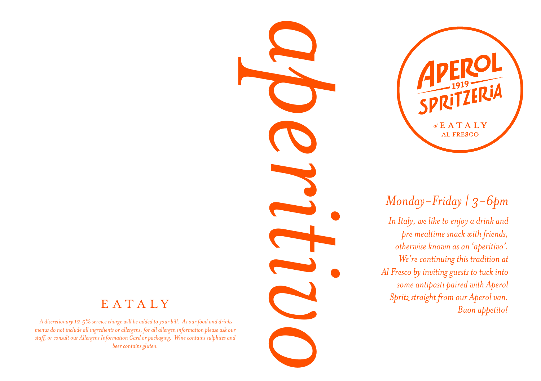

*In Italy, we like to enjoy a drink and pre mealtime snack with friends, otherwise known as an 'aperitivo'. We're continuing this tradition at Al Fresco by inviting guests to tuck into some antipasti paired with Aperol Spritz straight from our Aperol van. Buon appetito!*

**PEROL**<br> **APEROL**<br> **ALTRESCO**<br> **ALTRESCO**<br> *ALTRESCO*<br> *Monday-Friday | 3-6pm*<br> *In Italy, we like to enjoy a drink and<br>
<i>permelline small permelline small permelline small permelline scheming plas tradition at<br>
Meric cont* 

### EATALY

 *A discretionary 12.5% service charge will be added to your bill. As our food and drinks menus do not include all ingredients or allergens, for all allergen information please ask our staff, or consult our Allergens Information Card or packaging. Wine contains sulphites and beer contains gluten.*